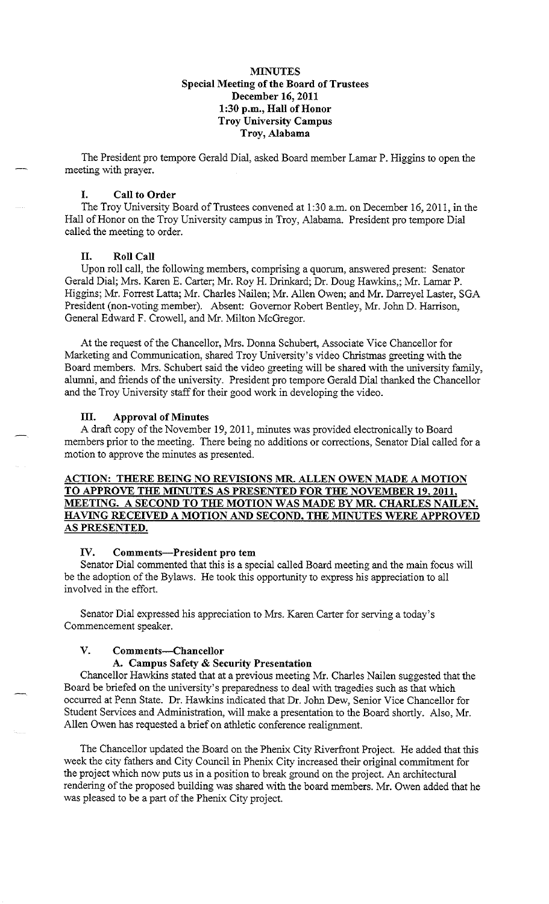### **MINUTES Special Meeting of the Board of Trustees December 16, 2011 1:30 p.m., Hall of Honor Troy University Campus Troy, Alabama**

The President pro tempore Gerald Dial, asked Board member Lamar P. Higgins to open the meeting with prayer.

### **I. Call to Order**

The Troy University Board of Trustees convened at 1:30 a.m. on December 16, 2011, in the Hall of Honor on the Troy University campus in Troy, Alabama. President pro tempore Dial called the meeting to order.

#### **II. Roll Call**

Upon roll call, the following members, comprising a quorum, answered present: Senator Gerald Dial; Mrs. Karen E. Carter; Mr. Roy H. Drinkard; Dr. Doug Hawkins,; Mr. Lamar P. Higgins; Mr. Forrest Latta; Mr. Charles Nailen; Mr. Allen Owen; and Mr. Darreyel Laster, SGA President (non-voting member). Absent: Governor Robert Bentley, Mr. John D. Harrison, General Edward F. Crowell, and Mr. Milton McGregor.

At the request of the Chancellor, Mrs. Donna Schubert, Associate Vice Chancellor for Marketing and Communication, shared Troy University's video Christmas greeting with the Board members. Mrs. Schubert said the video greeting will be shared with the university family, alumni, and friends of the university. President pro tempore Gerald Dial thanked the Chancellor and the Troy University staff for their good work in developing the video.

### **III. Approval of Minutes**

A draft copy of the November 19,2011, minutes was provided electronically to Board members prior to the meeting. There being no additions or corrections, Senator Dial called for a motion to approve the minutes as presented.

# **ACTION: THERE BEING NO REVISIONS MR. ALLEN OWEN MADE A MOTION TO APPROVE THE MINUTES AS PRESENTED FOR THE NOVEMBER 19, 2011, MEETING. A SECOND TO THE MOTION WAS MADE BY MR. CHARLES NAILEN. HAVING RECEIVED A MOTION AND SECOND, THE MINUTES WERE APPROVED AS PRESENTED.**

#### **IV.** Comments-President pro tem

Senator Dial commented that this is a special called Board meeting and the main focus will be the adoption of the Bylaws. He took this opportunity to express his appreciation to all involved in the effort.

Senator Dial expressed his appreciation to Mrs. Karen Carter for serving a today's Commencement speaker.

### **V. Comments-Chancellor**

#### **A. Campus Safety & Security Presentation**

Chancellor Hawkins stated that at a previous meeting Mr. Charles Nailen suggested that the Board be briefed on the university's preparedness to deal with tragedies such as that which occurred at Penn State. Dr. Hawkins indicated that Dr. John Dew, Senior Vice Chancellor for Student Services and Administration, will make a presentation to the Board shortly. Also, Mr. Allen Owen has requested a brief on athletic conference realignment.

The Chancellor updated the Board on the Phenix City Riverfront Project. He added that this week the city fathers and City Council in Phenix City increased their original commitment for the project which now puts us in a position to break ground on the project. An architectural rendering of the proposed building was shared with the board members. Mr. Owen added that he was pleased to be a part of the Phenix City project.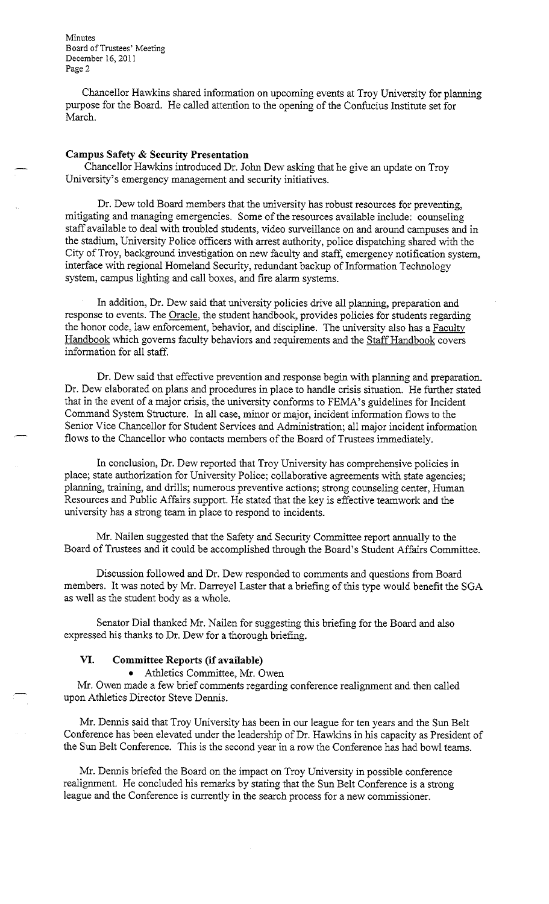Minutes Board of Trustees' Meeting December 16, 2011 **Page2** 

Chancellor Hawkins shared information on upcoming events at Troy University for planning purpose for the Board. He called attention to the opening of the Confucius Institute set for March.

### **Campus Safety & Security Presentation**

Chancellor Hawkins introduced Dr. John Dew asking that he give an update on Troy University's emergency management and security initiatives.

Dr. Dew told Board members that the university has robust resources for preventing, mitigating and managing emergencies. Some of the resources available include: counseling staff available to deal with troubled students, video surveillance on and around campuses and in the stadium, University Police officers with arrest authority, police dispatching shared with the City of Troy, background investigation on new faculty and staff, emergency notification system, interface with regional Homeland Security, redundant backup of Information Technology system, campus lighting and call boxes, and fire alarm systems.

In addition, Dr. Dew said that university policies drive all planning, preparation and response to events. The Oracle, the student handbook, provides policies for students regarding the honor code, law enforcement, behavior, and discipline. The university also has a Faculty Handbook which governs faculty behaviors and requirements and the Staff Handbook covers information for all staff.

Dr. Dew said that effective prevention and response begin with planning and preparation. Dr. Dew elaborated on plans and procedures in place to handle crisis situation. He further stated that in the event of a major crisis, the university conforms to FEMA's guidelines for Incident Command System Structure. In all case, minor or major, incident information flows to the Senior Vice Chancellor for Student Services and Administration; all major incident information flows to the Chancellor who contacts members of the Board of Trustees immediately.

In conclusion, Dr. Dew reported that Troy University has comprehensive policies in place; state authorization for University Police; collaborative agreements with state agencies; planning, training, and drills; numerous preventive actions; strong counseling center, Human Resources and Public Affairs support. He stated that the key is effective teamwork and the university has a strong team in place to respond to incidents.

Mr. Nailen suggested that the Safety and Security Committee report annually to the Board of Trustees and it could be accomplished through the Board's Student Affairs Committee.

Discussion followed and Dr. Dew responded to comments and questions from Board members. It was noted by Mr. Darreyel Laster that a briefing of this type would benefit the SGA as well as the student body as a whole.

Senator Dial thanked Mr. Nailen for suggesting this briefing for the Board and also expressed his thanks to Dr. Dew for a thorough briefing.

### **VI. Committee Reports (if available)**

• Athletics Committee, Mr. Owen

Mr. Owen made a few brief comments regarding conference realignment and then called upon Athletics Director Steve Dennis.

Mr. Dennis said that Troy University has been in our league for ten years and the Sun Belt Conference has been elevated under the leadership of Dr. Hawkins in his capacity as President of the Sun Belt Conference. This is the second year in a row the Conference has had bowl teams.

Mr. Dennis briefed the Board on the impact on Troy University in possible conference realignment. He concluded his remarks by stating that the Sun Belt Conference is a strong league and the Conference is currently in the search process for a new commissioner.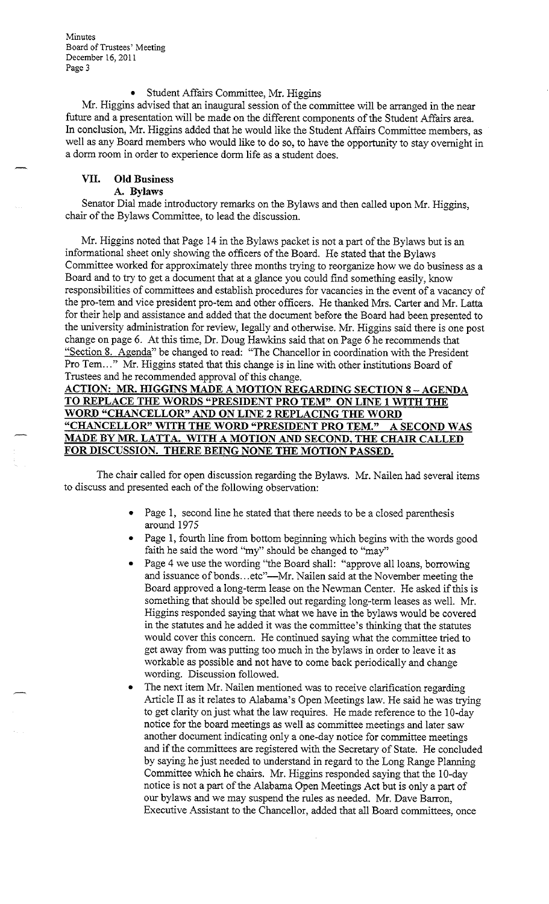Minutes Board of Trustees' Meeting December 16, 2011 **Page3** 

#### • Student Affairs Committee, Mr. Higgins

Mr. Higgins advised that an inaugural session of the committee will be arranged in the near future and a presentation will be made on the different components of the Student Affairs area. In conclusion, Mr. Higgins added that he would like the Student Affairs Committee members, as well as any Board members who would like to do so, to have the opportunity to stay overnight in a dorm room in order to experience dorm life as a student does.

# **VII. Old Business**

**A. Bylaws** 

Senator Dial made introductory remarks on the Bylaws and then called upon Mr. Higgins, chair of the Bylaws Committee, to lead the discussion.

Mr. Higgins noted that Page 14 in the Bylaws packet is not a part of the Bylaws but is an informational sheet only showing the officers of the Board. He stated that the Bylaws Committee worked for approximately three months trying to reorganize how we do business as a Board and to try to get a document that at a glance you could find something easily, know responsibilities of committees and establish procedures for vacancies in the event of a vacancy of the pro-tern and vice president pro-tern and other officers. He thanked Mrs. Carter and Mr. Latta for their help and assistance and added that the document before the Board had been presented to the university administration for review, legally and otherwise. Mr. Higgins said there is one post change on page 6. At this time, Dr. Doug Hawkins said that on Page 6 he recommends that "Section 8. Agenda" be changed to read: "The Chancellor in coordination with the President Pro Tem..." Mr. Higgins stated that this change is in line with other institutions Board of Trustees and he recommended approval of this change.

# **ACTION: MR. HIGGINS MADE A MOTION REGARDING SECTION 8 -AGENDA TO REPLACE THE WORDS "PRESIDENT PRO TEM" ON LINE 1 WITH THE WORD "CHANCELLOR" AND ON LINE 2 REPLACING THE WORD "CHANCELLOR" WITH THE WORD "PRESIDENT PRO TEM." A SECOND WAS MADE BY MR LATTA. WITH A MOTION AND SECOND, THE CHAIR CALLED FOR DISCUSSION. THERE BEING NONE THE MOTION PASSED.**

The chair called for open discussion regarding the Bylaws. Mr. Nailen had several items to discuss and presented each of the following observation:

- Page 1, second line he stated that there needs to be a closed parenthesis around 1975
- Page 1, fourth line from bottom beginning which begins with the words good faith he said the word "my" should be changed to "may"
- Page 4 we use the wording "the Board shall: "approve all loans, borrowing and issuance of bonds... etc"—Mr. Nailen said at the November meeting the Board approved a long-term lease on the Newman Center. He asked if this is something that should be spelled out regarding long-term leases as well. Mr. Higgins responded saying that what we have in the bylaws would be covered in the statutes and he added it was the committee's thinking that the statutes would cover this concern. He continued saying what the committee tried to get away from was putting too much in the bylaws in order to leave it as workable as possible and not have to come back periodically and change wording. Discussion followed.
- The next item Mr. Nailen mentioned was to receive clarification regarding Article II as it relates to Alabama's Open Meetings law. He said he was trying to get clarity on just what the law requires. He made reference to the 10-day notice for the board meetings as well as committee meetings and later saw another document indicating only a one-day notice for committee meetings and if the committees are registered with the Secretary of State. He concluded by saying he just needed to understand in regard to the Long Range Planning Committee which he chairs. Mr. Higgins responded saying that the 10-day notice is not a part of the Alabama Open Meetings Act but is only a part of our bylaws and we may suspend the rules as needed. Mr. Dave Barron, Executive Assistant to the Chancellor, added that all Board committees, once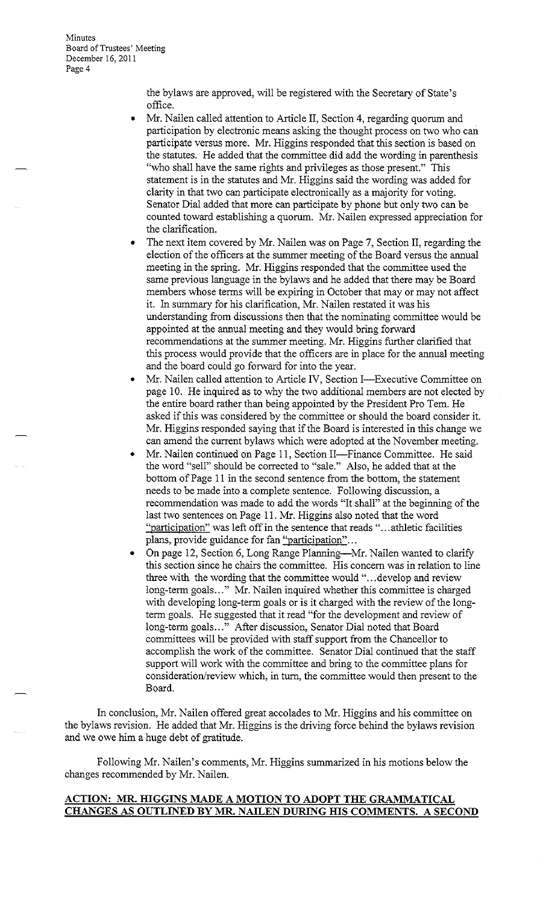**Minutes** Board of Trustees' Meeting December 16, 2011 **Page4** 

> the bylaws are approved, will be registered with the Secretary of State's office.

- Mr. Nailen called attention to Article II, Section 4, regarding quorum and participation by electronic means asking the thought process on two who can participate versus more. Mr. Higgins responded that this section is based on the statutes. He added that the committee did add the wording in parenthesis "who shall have the same rights and privileges as those present." This statement is in the statutes and Mr. Higgins said the wording was added for clarity in that two can participate electronically as a majority for voting. Senator Dial added that more can participate by phone but only two can be counted toward establishing a quorum. Mr. Nailen expressed appreciation for the clarification.
- The next item covered by Mr. Nailen was on Page 7, Section II, regarding the election of the officers at the summer meeting of the Board versus the annual meeting in the spring. Mr. Higgins responded that the committee used the same previous language in the bylaws and he added that there may be Board members whose terms will be expiring in October that may or may not affect it. In summary for his clarification, Mr. Nailen restated it was his understanding from discussions then that the nominating committee would be appointed at the annual meeting and they would bring forward recommendations at the summer meeting. Mr. Higgins further clarified that this process would provide that the officers are in place for the annual meeting and the board could go forward for into the year.
- Mr. Nailen called attention to Article IV, Section I-Executive Committee on page 10. He inquired as to why the two additional members are not elected by the entire board rather than being appointed by the President Pro Tem. He asked if this was considered by the committee or should the board consider it. Mr. Higgins responded saying that if the Board is interested in this change we can amend the current bylaws which were adopted at the November meeting.
- Mr. Nailen continued on Page 11, Section II-Finance Committee. He said the word "sell" should be corrected to "sale." Also, he added that at the bottom of Page 11 in the second sentence from the bottom, the statement needs to be made into a complete sentence. Following discussion, a recommendation was made to add the words "It shall" at the beginning of the last two sentences on Page 11. Mr. Higgins also noted that the word "participation" was left off in the sentence that reads " ... athletic facilities plans, provide guidance for fan "participation"...
- On page 12, Section 6, Long Range Planning--Mr. Nailen wanted to clarify this section since he chairs the committee. His concern was in relation to line three with the wording that the committee would "... develop and review long-term goals ..." Mr. Nailen inquired whether this committee is charged with developing long-term goals or is it charged with the review of the longterm goals. He suggested that it read "for the development and review of long-term goals ... " After discussion, Senator Dial noted that Board committees will be provided with staff support from the Chancellor to accomplish the work of the committee. Senator Dial continued that the staff support will work with the committee and bring to the committee plans for consideration/review which, in tum, the committee would then present to the Board.

In conclusion, Mr. Nailen offered great accolades to Mr. Higgins and his committee on the bylaws revision. He added that Mr. Higgins is the driving force behind the bylaws revision and we owe him a huge debt of gratitude.

Following Mr. Nailen's comments, Mr. Higgins summarized in his motions below the changes recommended by Mr. Nailen.

### **ACTION: MR. HIGGINS MADE A MOTION TO ADOPT THE GRAMMATICAL CHANGES AS OUTLINED BY MR. NAILEN DURING ms COMMENTS. A SECOND**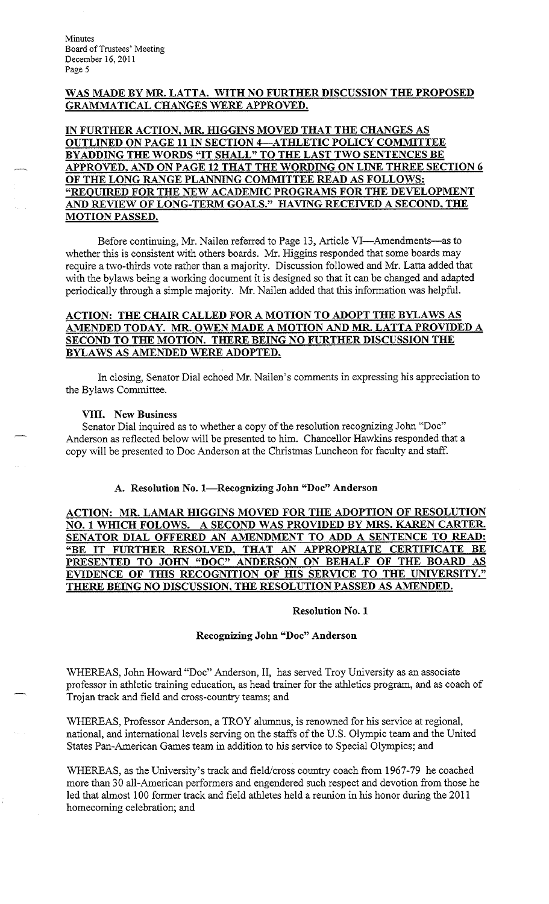Minutes Board of Trustees' Meeting December 16, 2011 Page 5

# **WAS MADE BY MR. LATTA. WITH NO FURTHER DISCUSSION THE PROPOSED GRAMMATICAL CHANGES WERE APPROVED.**

IN FURTHER ACTION, MR. HIGGINS MOVED THAT THE CHANGES AS **OUTLINED ON PAGE 11 IN SECTION 4-ATHLETIC POLICY COMMITTEE BY ADDING THE WORDS "IT SHALL" TO THE LAST TWO SENTENCES BE APPROVED, AND ON PAGE 12 THAT THE WORDING ON LINE THREE SECTION 6 OF THE LONG RANGE PLANNING COMMITTEE READ AS FOLLOWS: "REQUIRED FOR THE NEW ACADEMIC PROGRAMS FOR THE DEVELOPMENT AND REVIEW OF LONG-TERM GOALS." HA YING RECEIVED A SECOND, THE MOTION PASSED.** 

Before continuing, Mr. Nailen referred to Page 13, Article VI—Amendments—as to whether this is consistent with others boards. Mr. Higgins responded that some boards may require a two-thirds vote rather than a majority. Discussion followed and Mr. Latta added that with the bylaws being a working document it is designed so that it can be changed and adapted periodically through a simple majority. Mr. Nailen added that this information was helpful.

# **ACTION: THE CHAIR CALLED FOR A MOTION TO ADOPT THE BYLAWS AS AMENDED TODAY. MR. OWEN MADE A MOTION AND MR. LATTA PROVIDED A SECOND TO THE MOTION. THERE BEING NO FURTHER DISCUSSION THE BYLAWS AS AMENDED WERE ADOPTED.**

In closing, Senator Dial echoed Mr. Nailen's comments in expressing his appreciation to the Bylaws Committee.

### **VIII. New Business**

Senator Dial inquired as to whether a copy of the resolution recognizing John "Doc" Anderson as reflected below will be presented to him. Chancellor Hawkins responded that a copy will be presented to Doc Anderson at the Christmas Luncheon for faculty and staff.

### A. Resolution No. 1-Recognizing John "Doc" Anderson

**ACTION: MR. LAMAR HIGGINS MOVED FOR THE ADOPTION OF RESOLUTION NO. 1 WHICH FOLOWS. A SECOND WAS PROVIDED BY MRS. KAREN CARTER. SENATOR DIAL OFFERED AN AMENDMENT TO ADD A SENTENCE TO READ: "BE IT FURTHER RESOLVED, THAT AN APPROPRIATE CERTIFICATE BE PRESENTED TO JOHN "DOC" ANDERSON ON BEHALF OF THE BOARD AS EVIDENCE OF THIS RECOGNITION OF HIS SERVICE TO THE UNIVERSITY." THERE BEING NO DISCUSSION, THE RESOLUTION PASSED AS AMENDED.** 

### **Resolution No. 1**

#### **Recognizing John "Doc" Anderson**

WHEREAS, John Howard "Doc" Anderson, II, has served Troy University as an associate professor in athletic training education, as head trainer for the athletics program, and as coach of Trojan track and field and cross-country teams; and

WHEREAS, Professor Anderson, a TROY alumnus, is renowned for his service at regional, national, and international levels serving on the staffs of the U.S. Olympic team and the United States Pan-American Games team in addition to his service to Special Olympics; and

WHEREAS, as the University's track and field/cross country coach from 1967-79 he coached more than 30 all-American performers and engendered such respect and devotion from those he led that almost 100 former track and field athletes held a reunion in his honor during the 2011 homecoming celebration; and